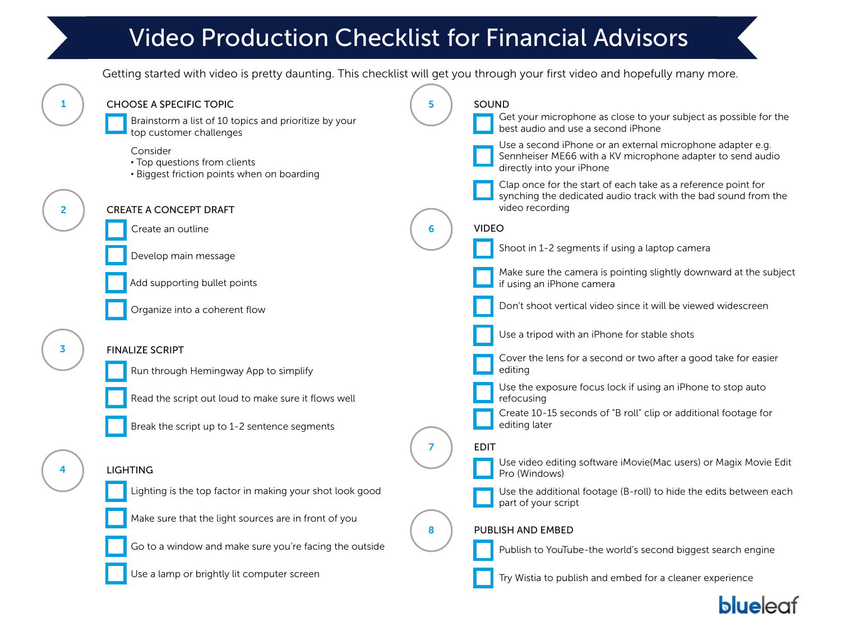# Video Production Checklist for Financial Advisors

Getting started with video is pretty daunting. This checklist will get you through your first video and hopefully many more.



**blueleat**